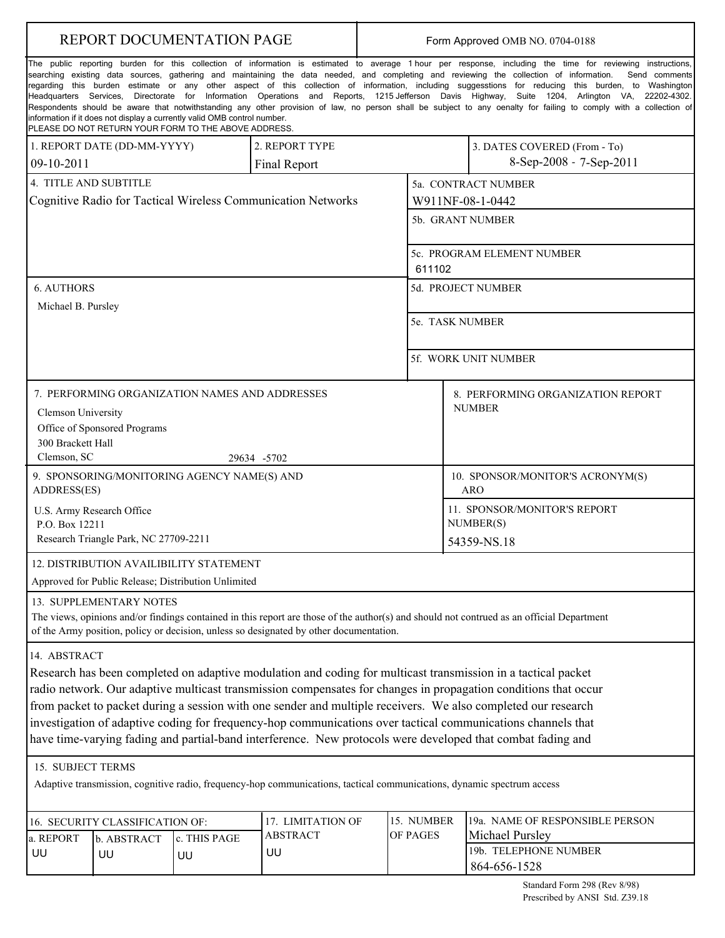| REPORT DOCUMENTATION PAGE                              |                                       |                                                                                                                                  |                                                                                                                        | Form Approved OMB NO. 0704-0188 |                 |                                            |                                                                                                                                                                                                                                                                                                                                                                                                                                                                                                                                                                                                                                                                                                                                                                                                       |
|--------------------------------------------------------|---------------------------------------|----------------------------------------------------------------------------------------------------------------------------------|------------------------------------------------------------------------------------------------------------------------|---------------------------------|-----------------|--------------------------------------------|-------------------------------------------------------------------------------------------------------------------------------------------------------------------------------------------------------------------------------------------------------------------------------------------------------------------------------------------------------------------------------------------------------------------------------------------------------------------------------------------------------------------------------------------------------------------------------------------------------------------------------------------------------------------------------------------------------------------------------------------------------------------------------------------------------|
|                                                        |                                       | information if it does not display a currently valid OMB control number.<br>PLEASE DO NOT RETURN YOUR FORM TO THE ABOVE ADDRESS. |                                                                                                                        |                                 |                 |                                            | The public reporting burden for this collection of information is estimated to average 1 hour per response, including the time for reviewing instructions,<br>searching existing data sources, gathering and maintaining the data needed, and completing and reviewing the collection of information.<br>Send comments<br>regarding this burden estimate or any other aspect of this collection of information, including suggesstions for reducing this burden, to Washington<br>Headquarters Services, Directorate for Information Operations and Reports, 1215 Jefferson Davis Highway, Suite 1204, Arlington VA, 22202-4302.<br>Respondents should be aware that notwithstanding any other provision of law, no person shall be subject to any oenalty for failing to comply with a collection of |
|                                                        | 1. REPORT DATE (DD-MM-YYYY)           |                                                                                                                                  | 2. REPORT TYPE                                                                                                         |                                 |                 |                                            | 3. DATES COVERED (From - To)                                                                                                                                                                                                                                                                                                                                                                                                                                                                                                                                                                                                                                                                                                                                                                          |
| $09-10-2011$                                           |                                       |                                                                                                                                  | Final Report                                                                                                           |                                 |                 |                                            | 8-Sep-2008 - 7-Sep-2011                                                                                                                                                                                                                                                                                                                                                                                                                                                                                                                                                                                                                                                                                                                                                                               |
| 4. TITLE AND SUBTITLE                                  |                                       |                                                                                                                                  |                                                                                                                        |                                 |                 |                                            | 5a. CONTRACT NUMBER                                                                                                                                                                                                                                                                                                                                                                                                                                                                                                                                                                                                                                                                                                                                                                                   |
|                                                        |                                       |                                                                                                                                  | Cognitive Radio for Tactical Wireless Communication Networks                                                           |                                 |                 |                                            | W911NF-08-1-0442                                                                                                                                                                                                                                                                                                                                                                                                                                                                                                                                                                                                                                                                                                                                                                                      |
|                                                        |                                       |                                                                                                                                  |                                                                                                                        |                                 |                 |                                            | 5b. GRANT NUMBER                                                                                                                                                                                                                                                                                                                                                                                                                                                                                                                                                                                                                                                                                                                                                                                      |
|                                                        |                                       |                                                                                                                                  |                                                                                                                        |                                 |                 |                                            | 5c. PROGRAM ELEMENT NUMBER                                                                                                                                                                                                                                                                                                                                                                                                                                                                                                                                                                                                                                                                                                                                                                            |
|                                                        |                                       |                                                                                                                                  |                                                                                                                        |                                 | 611102          |                                            |                                                                                                                                                                                                                                                                                                                                                                                                                                                                                                                                                                                                                                                                                                                                                                                                       |
| <b>6. AUTHORS</b>                                      |                                       |                                                                                                                                  |                                                                                                                        |                                 |                 |                                            | 5d. PROJECT NUMBER                                                                                                                                                                                                                                                                                                                                                                                                                                                                                                                                                                                                                                                                                                                                                                                    |
| Michael B. Pursley                                     |                                       |                                                                                                                                  |                                                                                                                        |                                 |                 |                                            |                                                                                                                                                                                                                                                                                                                                                                                                                                                                                                                                                                                                                                                                                                                                                                                                       |
|                                                        |                                       |                                                                                                                                  |                                                                                                                        |                                 | 5e. TASK NUMBER |                                            |                                                                                                                                                                                                                                                                                                                                                                                                                                                                                                                                                                                                                                                                                                                                                                                                       |
|                                                        |                                       |                                                                                                                                  |                                                                                                                        |                                 |                 |                                            | 5f. WORK UNIT NUMBER                                                                                                                                                                                                                                                                                                                                                                                                                                                                                                                                                                                                                                                                                                                                                                                  |
| Clemson University<br>300 Brackett Hall<br>Clemson, SC | Office of Sponsored Programs          | 7. PERFORMING ORGANIZATION NAMES AND ADDRESSES                                                                                   | 29634 -5702                                                                                                            |                                 |                 |                                            | 8. PERFORMING ORGANIZATION REPORT<br><b>NUMBER</b>                                                                                                                                                                                                                                                                                                                                                                                                                                                                                                                                                                                                                                                                                                                                                    |
| ADDRESS(ES)                                            |                                       | 9. SPONSORING/MONITORING AGENCY NAME(S) AND                                                                                      |                                                                                                                        |                                 |                 |                                            | 10. SPONSOR/MONITOR'S ACRONYM(S)                                                                                                                                                                                                                                                                                                                                                                                                                                                                                                                                                                                                                                                                                                                                                                      |
| U.S. Army Research Office                              |                                       |                                                                                                                                  |                                                                                                                        |                                 |                 | <b>ARO</b><br>11. SPONSOR/MONITOR'S REPORT |                                                                                                                                                                                                                                                                                                                                                                                                                                                                                                                                                                                                                                                                                                                                                                                                       |
| P.O. Box 12211                                         |                                       |                                                                                                                                  |                                                                                                                        |                                 |                 | NUMBER(S)                                  |                                                                                                                                                                                                                                                                                                                                                                                                                                                                                                                                                                                                                                                                                                                                                                                                       |
|                                                        | Research Triangle Park, NC 27709-2211 |                                                                                                                                  |                                                                                                                        |                                 | 54359-NS.18     |                                            |                                                                                                                                                                                                                                                                                                                                                                                                                                                                                                                                                                                                                                                                                                                                                                                                       |
|                                                        |                                       | 12. DISTRIBUTION AVAILIBILITY STATEMENT                                                                                          |                                                                                                                        |                                 |                 |                                            |                                                                                                                                                                                                                                                                                                                                                                                                                                                                                                                                                                                                                                                                                                                                                                                                       |
|                                                        |                                       | Approved for Public Release; Distribution Unlimited                                                                              |                                                                                                                        |                                 |                 |                                            |                                                                                                                                                                                                                                                                                                                                                                                                                                                                                                                                                                                                                                                                                                                                                                                                       |
|                                                        | 13. SUPPLEMENTARY NOTES               |                                                                                                                                  | of the Army position, policy or decision, unless so designated by other documentation.                                 |                                 |                 |                                            | The views, opinions and/or findings contained in this report are those of the author(s) and should not contrued as an official Department                                                                                                                                                                                                                                                                                                                                                                                                                                                                                                                                                                                                                                                             |
| 14. ABSTRACT                                           |                                       |                                                                                                                                  |                                                                                                                        |                                 |                 |                                            | Research has been completed on adaptive modulation and coding for multicast transmission in a tactical packet<br>radio network. Our adaptive multicast transmission compensates for changes in propagation conditions that occur<br>from packet to packet during a session with one sender and multiple receivers. We also completed our research<br>investigation of adaptive coding for frequency-hop communications over tactical communications channels that<br>have time-varying fading and partial-band interference. New protocols were developed that combat fading and                                                                                                                                                                                                                      |
| 15. SUBJECT TERMS                                      |                                       |                                                                                                                                  |                                                                                                                        |                                 |                 |                                            |                                                                                                                                                                                                                                                                                                                                                                                                                                                                                                                                                                                                                                                                                                                                                                                                       |
|                                                        |                                       |                                                                                                                                  | Adaptive transmission, cognitive radio, frequency-hop communications, tactical communications, dynamic spectrum access |                                 |                 |                                            |                                                                                                                                                                                                                                                                                                                                                                                                                                                                                                                                                                                                                                                                                                                                                                                                       |
|                                                        | 16. SECURITY CLASSIFICATION OF:       |                                                                                                                                  | 17. LIMITATION OF                                                                                                      |                                 | 15. NUMBER      |                                            | 19a. NAME OF RESPONSIBLE PERSON                                                                                                                                                                                                                                                                                                                                                                                                                                                                                                                                                                                                                                                                                                                                                                       |
| a. REPORT                                              | c. THIS PAGE<br>b. ABSTRACT           |                                                                                                                                  | <b>ABSTRACT</b>                                                                                                        |                                 | OF PAGES        |                                            | Michael Pursley                                                                                                                                                                                                                                                                                                                                                                                                                                                                                                                                                                                                                                                                                                                                                                                       |
| UU                                                     | UU                                    | UU                                                                                                                               | UU                                                                                                                     |                                 |                 |                                            | 19b. TELEPHONE NUMBER<br>864-656-1528                                                                                                                                                                                                                                                                                                                                                                                                                                                                                                                                                                                                                                                                                                                                                                 |

ш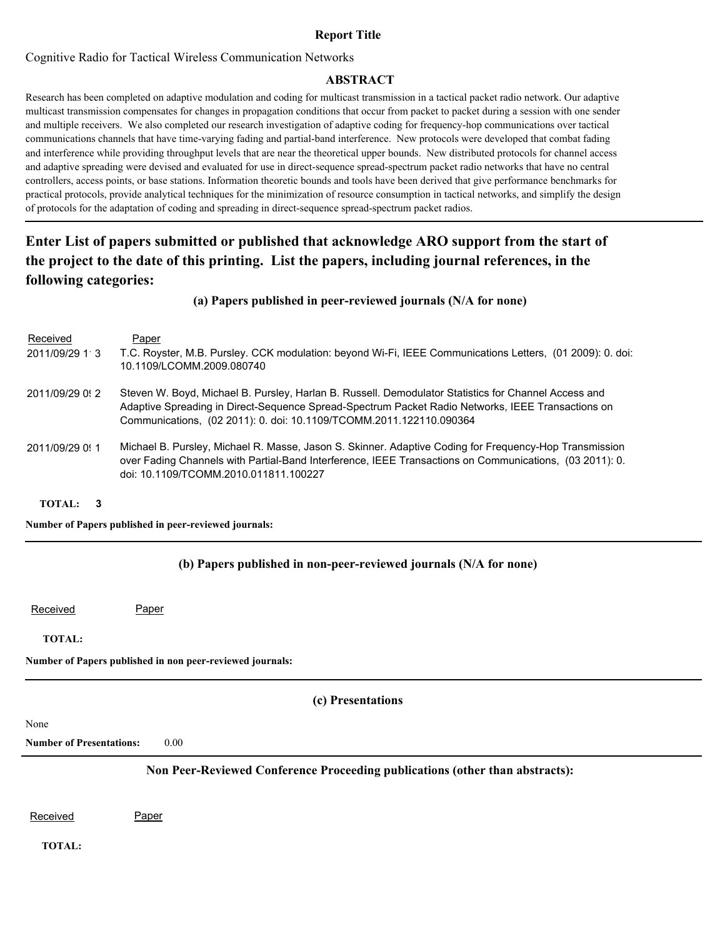## **Report Title**

Cognitive Radio for Tactical Wireless Communication Networks

## **ABSTRACT**

Research has been completed on adaptive modulation and coding for multicast transmission in a tactical packet radio network. Our adaptive multicast transmission compensates for changes in propagation conditions that occur from packet to packet during a session with one sender and multiple receivers. We also completed our research investigation of adaptive coding for frequency-hop communications over tactical communications channels that have time-varying fading and partial-band interference. New protocols were developed that combat fading and interference while providing throughput levels that are near the theoretical upper bounds. New distributed protocols for channel access and adaptive spreading were devised and evaluated for use in direct-sequence spread-spectrum packet radio networks that have no central controllers, access points, or base stations. Information theoretic bounds and tools have been derived that give performance benchmarks for practical protocols, provide analytical techniques for the minimization of resource consumption in tactical networks, and simplify the design of protocols for the adaptation of coding and spreading in direct-sequence spread-spectrum packet radios.

# **Enter List of papers submitted or published that acknowledge ARO support from the start of the project to the date of this printing. List the papers, including journal references, in the following categories:**

## **(a) Papers published in peer-reviewed journals (N/A for none)**

| Received<br>2011/09/29 1 3 | Paper<br>T.C. Royster, M.B. Pursley. CCK modulation: beyond Wi-Fi, IEEE Communications Letters, (01 2009): 0. doi:<br>10.1109/LCOMM.2009.080740                                                                                                                                  |
|----------------------------|----------------------------------------------------------------------------------------------------------------------------------------------------------------------------------------------------------------------------------------------------------------------------------|
| 2011/09/29 0: 2            | Steven W. Boyd, Michael B. Pursley, Harlan B. Russell. Demodulator Statistics for Channel Access and<br>Adaptive Spreading in Direct-Sequence Spread-Spectrum Packet Radio Networks, IEEE Transactions on<br>Communications, (02 2011): 0. doi: 10.1109/TCOMM.2011.122110.090364 |
| 2011/09/29 0:1             | Michael B. Pursley, Michael R. Masse, Jason S. Skinner. Adaptive Coding for Frequency-Hop Transmission<br>over Fading Channels with Partial-Band Interference, IEEE Transactions on Communications, (03 2011): 0.<br>doi: 10.1109/TCOMM.2010.011811.100227                       |

### **TOTAL: 3**

### **Number of Papers published in peer-reviewed journals:**

## **(b) Papers published in non-peer-reviewed journals (N/A for none)**

Received Paper

#### **TOTAL:**

**Number of Papers published in non peer-reviewed journals:**

### **(c) Presentations**

None

**Number of Presentations:** 0.00

## **Non Peer-Reviewed Conference Proceeding publications (other than abstracts):**

Received Paper

**TOTAL:**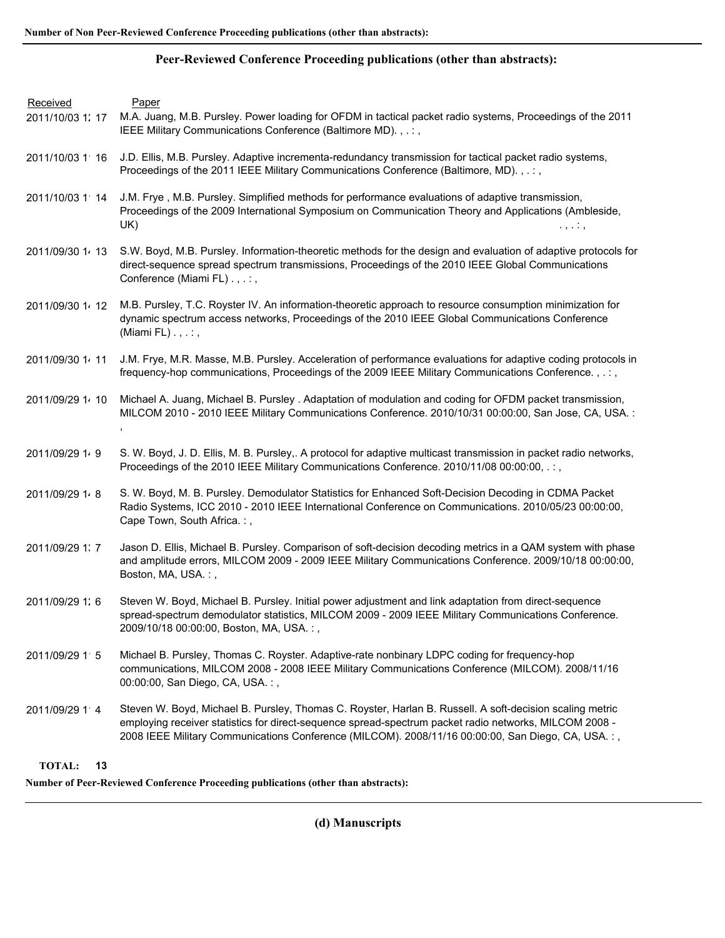## **Peer-Reviewed Conference Proceeding publications (other than abstracts):**

| Received<br>2011/10/03 1: 17 | Paper<br>M.A. Juang, M.B. Pursley. Power loading for OFDM in tactical packet radio systems, Proceedings of the 2011<br>IEEE Military Communications Conference (Baltimore MD)., .:,                                                                                                                                     |
|------------------------------|-------------------------------------------------------------------------------------------------------------------------------------------------------------------------------------------------------------------------------------------------------------------------------------------------------------------------|
| 2011/10/03 1 16              | J.D. Ellis, M.B. Pursley. Adaptive incrementa-redundancy transmission for tactical packet radio systems,<br>Proceedings of the 2011 IEEE Military Communications Conference (Baltimore, MD). , . : ,                                                                                                                    |
| 2011/10/03 1 14              | J.M. Frye, M.B. Pursley. Simplified methods for performance evaluations of adaptive transmission,<br>Proceedings of the 2009 International Symposium on Communication Theory and Applications (Ambleside,<br>UK)<br>. , ,                                                                                               |
| 2011/09/30 1 13              | S.W. Boyd, M.B. Pursley. Information-theoretic methods for the design and evaluation of adaptive protocols for<br>direct-sequence spread spectrum transmissions, Proceedings of the 2010 IEEE Global Communications<br>Conference (Miami FL) . , . : ,                                                                  |
| 2011/09/30 1 12              | M.B. Pursley, T.C. Royster IV. An information-theoretic approach to resource consumption minimization for<br>dynamic spectrum access networks, Proceedings of the 2010 IEEE Global Communications Conference<br>(Miami FL) $\ldots$ ;                                                                                   |
| 2011/09/30 1 11              | J.M. Frye, M.R. Masse, M.B. Pursley. Acceleration of performance evaluations for adaptive coding protocols in<br>frequency-hop communications, Proceedings of the 2009 IEEE Military Communications Conference., .:,                                                                                                    |
| 2011/09/29 1 10              | Michael A. Juang, Michael B. Pursley . Adaptation of modulation and coding for OFDM packet transmission,<br>MILCOM 2010 - 2010 IEEE Military Communications Conference. 2010/10/31 00:00:00, San Jose, CA, USA.:                                                                                                        |
| 2011/09/29 1 · 9             | S. W. Boyd, J. D. Ellis, M. B. Pursley,. A protocol for adaptive multicast transmission in packet radio networks,<br>Proceedings of the 2010 IEEE Military Communications Conference. 2010/11/08 00:00:00, .:,                                                                                                          |
| 2011/09/29 1 8               | S. W. Boyd, M. B. Pursley. Demodulator Statistics for Enhanced Soft-Decision Decoding in CDMA Packet<br>Radio Systems, ICC 2010 - 2010 IEEE International Conference on Communications. 2010/05/23 00:00:00,<br>Cape Town, South Africa.:,                                                                              |
| 2011/09/29 1: 7              | Jason D. Ellis, Michael B. Pursley. Comparison of soft-decision decoding metrics in a QAM system with phase<br>and amplitude errors, MILCOM 2009 - 2009 IEEE Military Communications Conference. 2009/10/18 00:00:00,<br>Boston, MA, USA.:,                                                                             |
| 2011/09/29 1: 6              | Steven W. Boyd, Michael B. Pursley. Initial power adjustment and link adaptation from direct-sequence<br>spread-spectrum demodulator statistics, MILCOM 2009 - 2009 IEEE Military Communications Conference.<br>2009/10/18 00:00:00, Boston, MA, USA.:,                                                                 |
| 2011/09/29 1 5               | Michael B. Pursley, Thomas C. Royster. Adaptive-rate nonbinary LDPC coding for frequency-hop<br>communications, MILCOM 2008 - 2008 IEEE Military Communications Conference (MILCOM). 2008/11/16<br>00:00:00, San Diego, CA, USA.:,                                                                                      |
| 2011/09/29 1 4               | Steven W. Boyd, Michael B. Pursley, Thomas C. Royster, Harlan B. Russell. A soft-decision scaling metric<br>employing receiver statistics for direct-sequence spread-spectrum packet radio networks, MILCOM 2008 -<br>2008 IEEE Military Communications Conference (MILCOM). 2008/11/16 00:00:00, San Diego, CA, USA.:, |
| <b>TOTAL:</b><br>13          |                                                                                                                                                                                                                                                                                                                         |

**Number of Peer-Reviewed Conference Proceeding publications (other than abstracts):**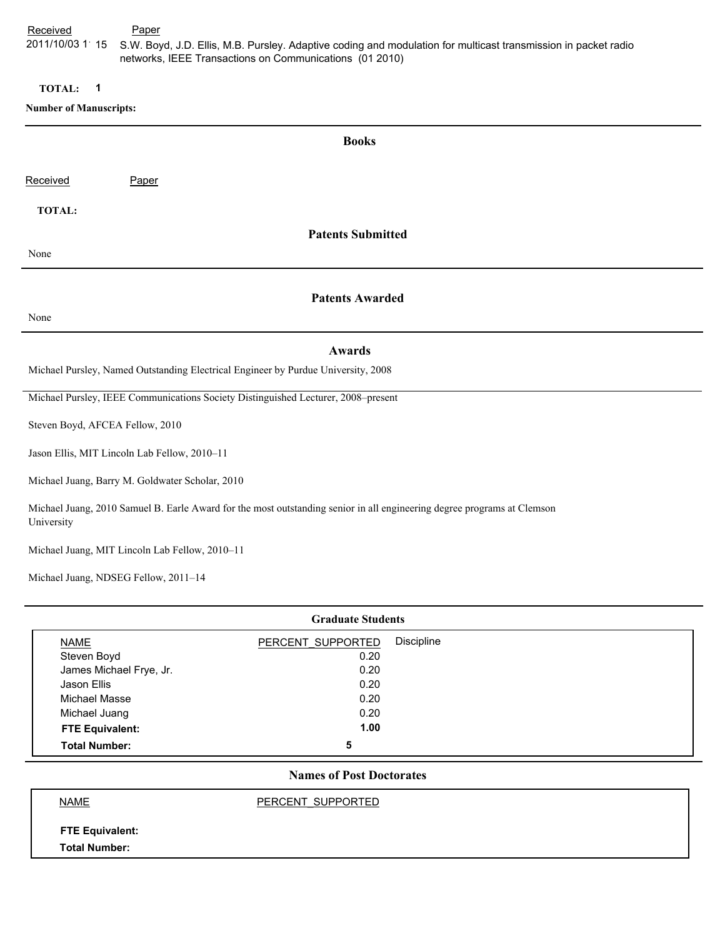Received **Paper** 2011/10/03 1 15 S.W. Boyd, J.D. Ellis, M.B. Pursley. Adaptive coding and modulation for multicast transmission in packet radio networks, IEEE Transactions on Communications (01 2010)

**TOTAL: 1**

### **Number of Manuscripts:**

| <b>Books</b>                                                                                                                          |                          |  |  |  |
|---------------------------------------------------------------------------------------------------------------------------------------|--------------------------|--|--|--|
| Received                                                                                                                              | Paper                    |  |  |  |
| <b>TOTAL:</b>                                                                                                                         |                          |  |  |  |
|                                                                                                                                       | <b>Patents Submitted</b> |  |  |  |
| None                                                                                                                                  |                          |  |  |  |
|                                                                                                                                       | <b>Patents Awarded</b>   |  |  |  |
| None                                                                                                                                  |                          |  |  |  |
|                                                                                                                                       | <b>Awards</b>            |  |  |  |
| Michael Pursley, Named Outstanding Electrical Engineer by Purdue University, 2008                                                     |                          |  |  |  |
| Michael Pursley, IEEE Communications Society Distinguished Lecturer, 2008-present                                                     |                          |  |  |  |
| Steven Boyd, AFCEA Fellow, 2010                                                                                                       |                          |  |  |  |
| Jason Ellis, MIT Lincoln Lab Fellow, 2010-11                                                                                          |                          |  |  |  |
| Michael Juang, Barry M. Goldwater Scholar, 2010                                                                                       |                          |  |  |  |
| Michael Juang, 2010 Samuel B. Earle Award for the most outstanding senior in all engineering degree programs at Clemson<br>University |                          |  |  |  |
| Michael Juang, MIT Lincoln Lab Fellow, 2010-11                                                                                        |                          |  |  |  |

Michael Juang, NDSEG Fellow, 2011–14

| <b>Graduate Students</b> |                   |            |  |
|--------------------------|-------------------|------------|--|
| NAME                     | PERCENT SUPPORTED | Discipline |  |
| Steven Boyd              | 0.20              |            |  |
| James Michael Frye, Jr.  | 0.20              |            |  |
| Jason Ellis              | 0.20              |            |  |
| Michael Masse            | 0.20              |            |  |
| Michael Juang            | 0.20              |            |  |
| <b>FTE Equivalent:</b>   | 1.00              |            |  |
| <b>Total Number:</b>     | 5                 |            |  |

# **Names of Post Doctorates**

NAME PERCENT\_SUPPORTED

**FTE Equivalent: Total Number:**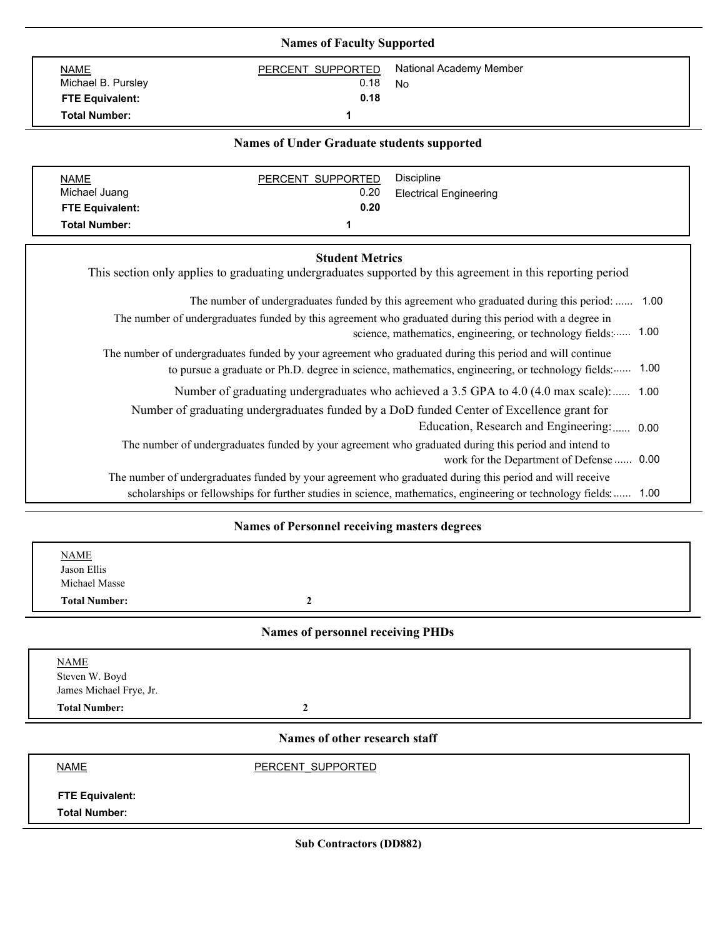| <b>NAME</b>                                       | PERCENT SUPPORTED      | National Academy Member                                                                                                                                                                                              |  |  |
|---------------------------------------------------|------------------------|----------------------------------------------------------------------------------------------------------------------------------------------------------------------------------------------------------------------|--|--|
| Michael B. Pursley                                | 0.18                   | <b>No</b>                                                                                                                                                                                                            |  |  |
| <b>FTE Equivalent:</b>                            | 0.18                   |                                                                                                                                                                                                                      |  |  |
| <b>Total Number:</b>                              | 1                      |                                                                                                                                                                                                                      |  |  |
| <b>Names of Under Graduate students supported</b> |                        |                                                                                                                                                                                                                      |  |  |
| <b>NAME</b>                                       | PERCENT SUPPORTED      | <b>Discipline</b>                                                                                                                                                                                                    |  |  |
| Michael Juang                                     | 0.20                   | <b>Electrical Engineering</b>                                                                                                                                                                                        |  |  |
| <b>FTE Equivalent:</b>                            | 0.20                   |                                                                                                                                                                                                                      |  |  |
| <b>Total Number:</b>                              | 1                      |                                                                                                                                                                                                                      |  |  |
|                                                   | <b>Student Metrics</b> | This section only applies to graduating undergraduates supported by this agreement in this reporting period                                                                                                          |  |  |
|                                                   |                        | The number of undergraduates funded by this agreement who graduated during this period with a degree in<br>science, mathematics, engineering, or technology fields:  1.00                                            |  |  |
|                                                   |                        | The number of undergraduates funded by your agreement who graduated during this period and will continue<br>1.00<br>to pursue a graduate or Ph.D. degree in science, mathematics, engineering, or technology fields: |  |  |
|                                                   |                        | The number of undergraduates funded by this agreement who graduated during this period:  1.00<br>Number of graduating undergraduates who achieved a 3.5 GPA to 4.0 (4.0 max scale): 1.00                             |  |  |
|                                                   |                        | Number of graduating undergraduates funded by a DoD funded Center of Excellence grant for                                                                                                                            |  |  |
|                                                   |                        | Education, Research and Engineering:  0.00                                                                                                                                                                           |  |  |
|                                                   |                        | The number of undergraduates funded by your agreement who graduated during this period and intend to<br>work for the Department of Defense  0.00                                                                     |  |  |
|                                                   |                        | The number of undergraduates funded by your agreement who graduated during this period and will receive                                                                                                              |  |  |

#### **Names of Personnel receiving masters degrees**

| <b>NAME</b><br>Jason Ellis<br>Michael Masse<br><b>Total Number:</b> | $\mathbf{2}$                             |  |
|---------------------------------------------------------------------|------------------------------------------|--|
|                                                                     | <b>Names of personnel receiving PHDs</b> |  |
| <b>NAME</b><br>Steven W. Boyd<br>James Michael Frye, Jr.            |                                          |  |
| <b>Total Number:</b>                                                | $\overline{2}$                           |  |
|                                                                     | Names of other research staff            |  |
| <b>NAME</b>                                                         | PERCENT SUPPORTED                        |  |
| <b>FTE Equivalent:</b><br><b>Total Number:</b>                      |                                          |  |

**Sub Contractors (DD882)**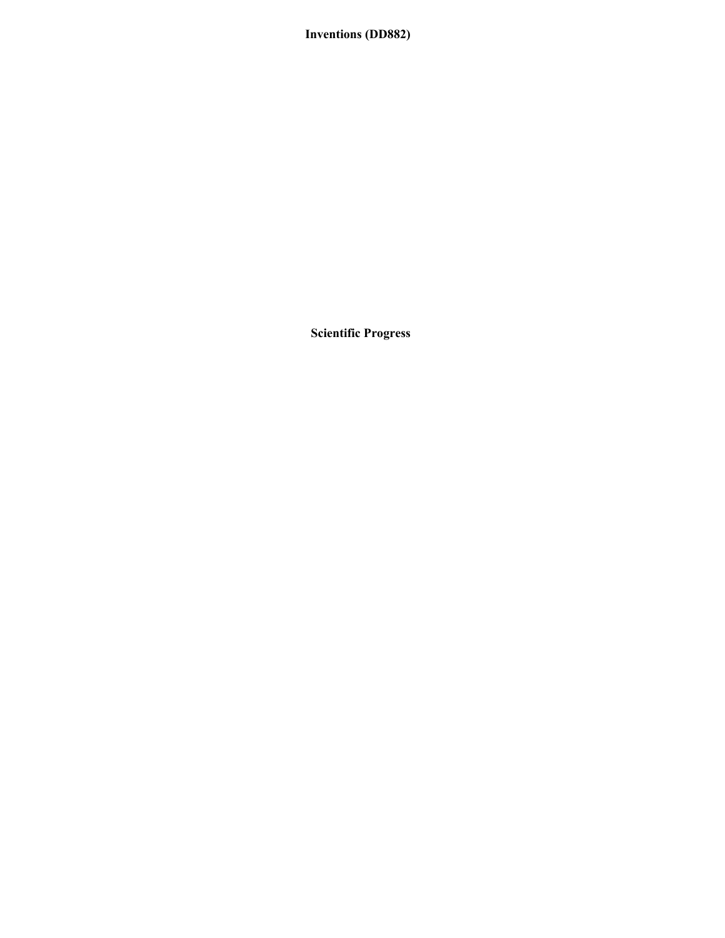# **Inventions (DD882)**

**Scientific Progress**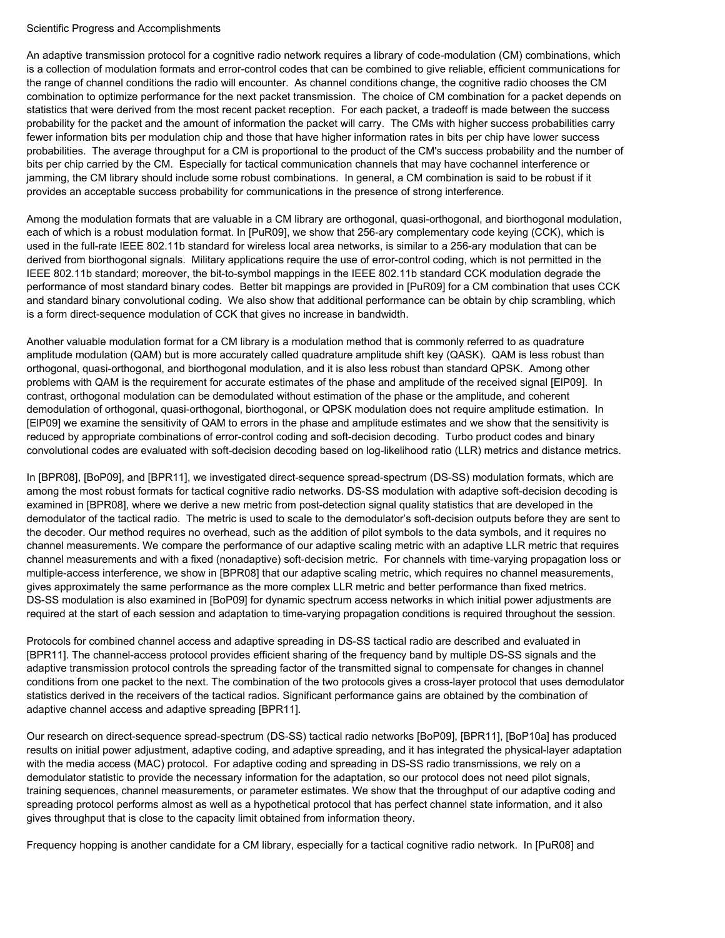#### Scientific Progress and Accomplishments

An adaptive transmission protocol for a cognitive radio network requires a library of code-modulation (CM) combinations, which is a collection of modulation formats and error-control codes that can be combined to give reliable, efficient communications for the range of channel conditions the radio will encounter. As channel conditions change, the cognitive radio chooses the CM combination to optimize performance for the next packet transmission. The choice of CM combination for a packet depends on statistics that were derived from the most recent packet reception. For each packet, a tradeoff is made between the success probability for the packet and the amount of information the packet will carry. The CMs with higher success probabilities carry fewer information bits per modulation chip and those that have higher information rates in bits per chip have lower success probabilities. The average throughput for a CM is proportional to the product of the CM's success probability and the number of bits per chip carried by the CM. Especially for tactical communication channels that may have cochannel interference or jamming, the CM library should include some robust combinations. In general, a CM combination is said to be robust if it provides an acceptable success probability for communications in the presence of strong interference.

Among the modulation formats that are valuable in a CM library are orthogonal, quasi-orthogonal, and biorthogonal modulation, each of which is a robust modulation format. In [PuR09], we show that 256-ary complementary code keying (CCK), which is used in the full-rate IEEE 802.11b standard for wireless local area networks, is similar to a 256-ary modulation that can be derived from biorthogonal signals. Military applications require the use of error-control coding, which is not permitted in the IEEE 802.11b standard; moreover, the bit-to-symbol mappings in the IEEE 802.11b standard CCK modulation degrade the performance of most standard binary codes. Better bit mappings are provided in [PuR09] for a CM combination that uses CCK and standard binary convolutional coding. We also show that additional performance can be obtain by chip scrambling, which is a form direct-sequence modulation of CCK that gives no increase in bandwidth.

Another valuable modulation format for a CM library is a modulation method that is commonly referred to as quadrature amplitude modulation (QAM) but is more accurately called quadrature amplitude shift key (QASK). QAM is less robust than orthogonal, quasi-orthogonal, and biorthogonal modulation, and it is also less robust than standard QPSK. Among other problems with QAM is the requirement for accurate estimates of the phase and amplitude of the received signal [ElP09]. In contrast, orthogonal modulation can be demodulated without estimation of the phase or the amplitude, and coherent demodulation of orthogonal, quasi-orthogonal, biorthogonal, or QPSK modulation does not require amplitude estimation. In [ElP09] we examine the sensitivity of QAM to errors in the phase and amplitude estimates and we show that the sensitivity is reduced by appropriate combinations of error-control coding and soft-decision decoding. Turbo product codes and binary convolutional codes are evaluated with soft-decision decoding based on log-likelihood ratio (LLR) metrics and distance metrics.

In [BPR08], [BoP09], and [BPR11], we investigated direct-sequence spread-spectrum (DS-SS) modulation formats, which are among the most robust formats for tactical cognitive radio networks. DS-SS modulation with adaptive soft-decision decoding is examined in [BPR08], where we derive a new metric from post-detection signal quality statistics that are developed in the demodulator of the tactical radio. The metric is used to scale to the demodulator's soft-decision outputs before they are sent to the decoder. Our method requires no overhead, such as the addition of pilot symbols to the data symbols, and it requires no channel measurements. We compare the performance of our adaptive scaling metric with an adaptive LLR metric that requires channel measurements and with a fixed (nonadaptive) soft-decision metric. For channels with time-varying propagation loss or multiple-access interference, we show in [BPR08] that our adaptive scaling metric, which requires no channel measurements, gives approximately the same performance as the more complex LLR metric and better performance than fixed metrics. DS-SS modulation is also examined in [BoP09] for dynamic spectrum access networks in which initial power adjustments are required at the start of each session and adaptation to time-varying propagation conditions is required throughout the session.

Protocols for combined channel access and adaptive spreading in DS-SS tactical radio are described and evaluated in [BPR11]. The channel-access protocol provides efficient sharing of the frequency band by multiple DS-SS signals and the adaptive transmission protocol controls the spreading factor of the transmitted signal to compensate for changes in channel conditions from one packet to the next. The combination of the two protocols gives a cross-layer protocol that uses demodulator statistics derived in the receivers of the tactical radios. Significant performance gains are obtained by the combination of adaptive channel access and adaptive spreading [BPR11].

Our research on direct-sequence spread-spectrum (DS-SS) tactical radio networks [BoP09], [BPR11], [BoP10a] has produced results on initial power adjustment, adaptive coding, and adaptive spreading, and it has integrated the physical-layer adaptation with the media access (MAC) protocol. For adaptive coding and spreading in DS-SS radio transmissions, we rely on a demodulator statistic to provide the necessary information for the adaptation, so our protocol does not need pilot signals, training sequences, channel measurements, or parameter estimates. We show that the throughput of our adaptive coding and spreading protocol performs almost as well as a hypothetical protocol that has perfect channel state information, and it also gives throughput that is close to the capacity limit obtained from information theory.

Frequency hopping is another candidate for a CM library, especially for a tactical cognitive radio network. In [PuR08] and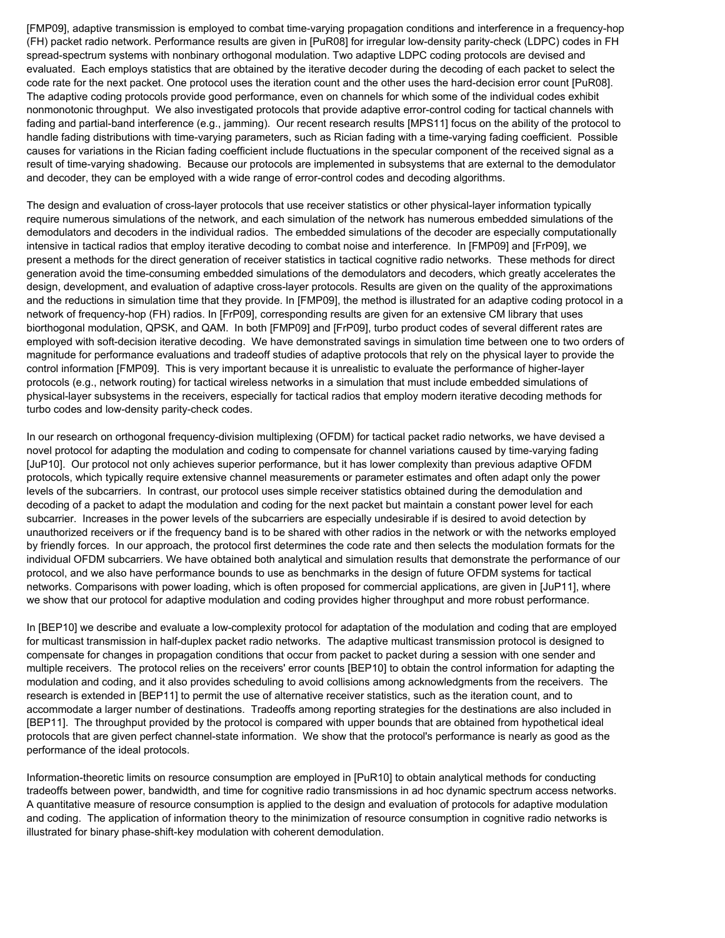[FMP09], adaptive transmission is employed to combat time-varying propagation conditions and interference in a frequency-hop (FH) packet radio network. Performance results are given in [PuR08] for irregular low-density parity-check (LDPC) codes in FH spread-spectrum systems with nonbinary orthogonal modulation. Two adaptive LDPC coding protocols are devised and evaluated. Each employs statistics that are obtained by the iterative decoder during the decoding of each packet to select the code rate for the next packet. One protocol uses the iteration count and the other uses the hard-decision error count [PuR08]. The adaptive coding protocols provide good performance, even on channels for which some of the individual codes exhibit nonmonotonic throughput. We also investigated protocols that provide adaptive error-control coding for tactical channels with fading and partial-band interference (e.g., jamming). Our recent research results [MPS11] focus on the ability of the protocol to handle fading distributions with time-varying parameters, such as Rician fading with a time-varying fading coefficient. Possible causes for variations in the Rician fading coefficient include fluctuations in the specular component of the received signal as a result of time-varying shadowing. Because our protocols are implemented in subsystems that are external to the demodulator and decoder, they can be employed with a wide range of error-control codes and decoding algorithms.

The design and evaluation of cross-layer protocols that use receiver statistics or other physical-layer information typically require numerous simulations of the network, and each simulation of the network has numerous embedded simulations of the demodulators and decoders in the individual radios. The embedded simulations of the decoder are especially computationally intensive in tactical radios that employ iterative decoding to combat noise and interference. In [FMP09] and [FrP09], we present a methods for the direct generation of receiver statistics in tactical cognitive radio networks. These methods for direct generation avoid the time-consuming embedded simulations of the demodulators and decoders, which greatly accelerates the design, development, and evaluation of adaptive cross-layer protocols. Results are given on the quality of the approximations and the reductions in simulation time that they provide. In [FMP09], the method is illustrated for an adaptive coding protocol in a network of frequency-hop (FH) radios. In [FrP09], corresponding results are given for an extensive CM library that uses biorthogonal modulation, QPSK, and QAM. In both [FMP09] and [FrP09], turbo product codes of several different rates are employed with soft-decision iterative decoding. We have demonstrated savings in simulation time between one to two orders of magnitude for performance evaluations and tradeoff studies of adaptive protocols that rely on the physical layer to provide the control information [FMP09]. This is very important because it is unrealistic to evaluate the performance of higher-layer protocols (e.g., network routing) for tactical wireless networks in a simulation that must include embedded simulations of physical-layer subsystems in the receivers, especially for tactical radios that employ modern iterative decoding methods for turbo codes and low-density parity-check codes.

In our research on orthogonal frequency-division multiplexing (OFDM) for tactical packet radio networks, we have devised a novel protocol for adapting the modulation and coding to compensate for channel variations caused by time-varying fading [JuP10]. Our protocol not only achieves superior performance, but it has lower complexity than previous adaptive OFDM protocols, which typically require extensive channel measurements or parameter estimates and often adapt only the power levels of the subcarriers. In contrast, our protocol uses simple receiver statistics obtained during the demodulation and decoding of a packet to adapt the modulation and coding for the next packet but maintain a constant power level for each subcarrier. Increases in the power levels of the subcarriers are especially undesirable if is desired to avoid detection by unauthorized receivers or if the frequency band is to be shared with other radios in the network or with the networks employed by friendly forces. In our approach, the protocol first determines the code rate and then selects the modulation formats for the individual OFDM subcarriers. We have obtained both analytical and simulation results that demonstrate the performance of our protocol, and we also have performance bounds to use as benchmarks in the design of future OFDM systems for tactical networks. Comparisons with power loading, which is often proposed for commercial applications, are given in [JuP11], where we show that our protocol for adaptive modulation and coding provides higher throughput and more robust performance.

In [BEP10] we describe and evaluate a low-complexity protocol for adaptation of the modulation and coding that are employed for multicast transmission in half-duplex packet radio networks. The adaptive multicast transmission protocol is designed to compensate for changes in propagation conditions that occur from packet to packet during a session with one sender and multiple receivers. The protocol relies on the receivers' error counts [BEP10] to obtain the control information for adapting the modulation and coding, and it also provides scheduling to avoid collisions among acknowledgments from the receivers. The research is extended in [BEP11] to permit the use of alternative receiver statistics, such as the iteration count, and to accommodate a larger number of destinations. Tradeoffs among reporting strategies for the destinations are also included in [BEP11]. The throughput provided by the protocol is compared with upper bounds that are obtained from hypothetical ideal protocols that are given perfect channel-state information. We show that the protocol's performance is nearly as good as the performance of the ideal protocols.

Information-theoretic limits on resource consumption are employed in [PuR10] to obtain analytical methods for conducting tradeoffs between power, bandwidth, and time for cognitive radio transmissions in ad hoc dynamic spectrum access networks. A quantitative measure of resource consumption is applied to the design and evaluation of protocols for adaptive modulation and coding. The application of information theory to the minimization of resource consumption in cognitive radio networks is illustrated for binary phase-shift-key modulation with coherent demodulation.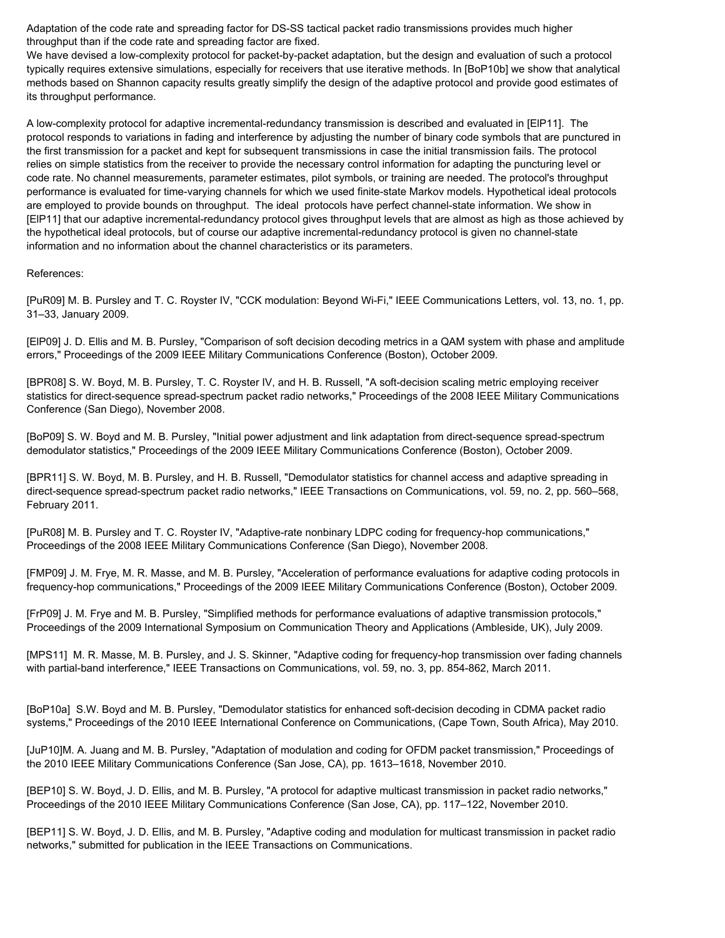Adaptation of the code rate and spreading factor for DS-SS tactical packet radio transmissions provides much higher throughput than if the code rate and spreading factor are fixed.

We have devised a low-complexity protocol for packet-by-packet adaptation, but the design and evaluation of such a protocol typically requires extensive simulations, especially for receivers that use iterative methods. In [BoP10b] we show that analytical methods based on Shannon capacity results greatly simplify the design of the adaptive protocol and provide good estimates of its throughput performance.

A low-complexity protocol for adaptive incremental-redundancy transmission is described and evaluated in [ElP11]. The protocol responds to variations in fading and interference by adjusting the number of binary code symbols that are punctured in the first transmission for a packet and kept for subsequent transmissions in case the initial transmission fails. The protocol relies on simple statistics from the receiver to provide the necessary control information for adapting the puncturing level or code rate. No channel measurements, parameter estimates, pilot symbols, or training are needed. The protocol's throughput performance is evaluated for time-varying channels for which we used finite-state Markov models. Hypothetical ideal protocols are employed to provide bounds on throughput. The ideal protocols have perfect channel-state information. We show in [ElP11] that our adaptive incremental-redundancy protocol gives throughput levels that are almost as high as those achieved by the hypothetical ideal protocols, but of course our adaptive incremental-redundancy protocol is given no channel-state information and no information about the channel characteristics or its parameters.

#### References:

[PuR09] M. B. Pursley and T. C. Royster IV, "CCK modulation: Beyond Wi-Fi," IEEE Communications Letters, vol. 13, no. 1, pp. 31–33, January 2009.

[ElP09] J. D. Ellis and M. B. Pursley, "Comparison of soft decision decoding metrics in a QAM system with phase and amplitude errors," Proceedings of the 2009 IEEE Military Communications Conference (Boston), October 2009.

[BPR08] S. W. Boyd, M. B. Pursley, T. C. Royster IV, and H. B. Russell, "A soft-decision scaling metric employing receiver statistics for direct-sequence spread-spectrum packet radio networks," Proceedings of the 2008 IEEE Military Communications Conference (San Diego), November 2008.

[BoP09] S. W. Boyd and M. B. Pursley, "Initial power adjustment and link adaptation from direct-sequence spread-spectrum demodulator statistics," Proceedings of the 2009 IEEE Military Communications Conference (Boston), October 2009.

[BPR11] S. W. Boyd, M. B. Pursley, and H. B. Russell, "Demodulator statistics for channel access and adaptive spreading in direct-sequence spread-spectrum packet radio networks," IEEE Transactions on Communications, vol. 59, no. 2, pp. 560–568, February 2011.

[PuR08] M. B. Pursley and T. C. Royster IV, "Adaptive-rate nonbinary LDPC coding for frequency-hop communications," Proceedings of the 2008 IEEE Military Communications Conference (San Diego), November 2008.

[FMP09] J. M. Frye, M. R. Masse, and M. B. Pursley, "Acceleration of performance evaluations for adaptive coding protocols in frequency-hop communications," Proceedings of the 2009 IEEE Military Communications Conference (Boston), October 2009.

[FrP09] J. M. Frye and M. B. Pursley, "Simplified methods for performance evaluations of adaptive transmission protocols," Proceedings of the 2009 International Symposium on Communication Theory and Applications (Ambleside, UK), July 2009.

[MPS11] M. R. Masse, M. B. Pursley, and J. S. Skinner, "Adaptive coding for frequency-hop transmission over fading channels with partial-band interference," IEEE Transactions on Communications, vol. 59, no. 3, pp. 854-862, March 2011.

[BoP10a] S.W. Boyd and M. B. Pursley, "Demodulator statistics for enhanced soft-decision decoding in CDMA packet radio systems," Proceedings of the 2010 IEEE International Conference on Communications, (Cape Town, South Africa), May 2010.

[JuP10]M. A. Juang and M. B. Pursley, "Adaptation of modulation and coding for OFDM packet transmission," Proceedings of the 2010 IEEE Military Communications Conference (San Jose, CA), pp. 1613–1618, November 2010.

[BEP10] S. W. Boyd, J. D. Ellis, and M. B. Pursley, "A protocol for adaptive multicast transmission in packet radio networks," Proceedings of the 2010 IEEE Military Communications Conference (San Jose, CA), pp. 117–122, November 2010.

[BEP11] S. W. Boyd, J. D. Ellis, and M. B. Pursley, "Adaptive coding and modulation for multicast transmission in packet radio networks," submitted for publication in the IEEE Transactions on Communications.